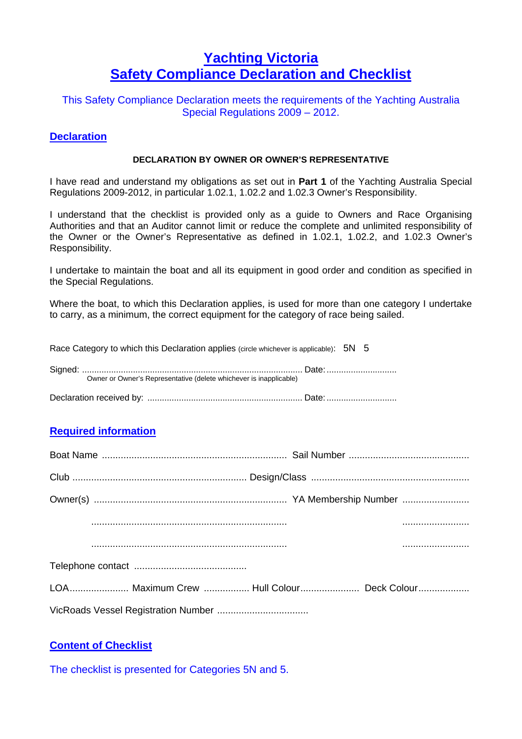## **Yachting Victoria Safety Compliance Declaration and Checklist**

This Safety Compliance Declaration meets the requirements of the Yachting Australia Special Regulations 2009 – 2012.

#### **Declaration**

#### **DECLARATION BY OWNER OR OWNER'S REPRESENTATIVE**

I have read and understand my obligations as set out in **Part 1** of the Yachting Australia Special Regulations 2009-2012, in particular 1.02.1, 1.02.2 and 1.02.3 Owner's Responsibility.

I understand that the checklist is provided only as a guide to Owners and Race Organising Authorities and that an Auditor cannot limit or reduce the complete and unlimited responsibility of the Owner or the Owner's Representative as defined in 1.02.1, 1.02.2, and 1.02.3 Owner's Responsibility.

I undertake to maintain the boat and all its equipment in good order and condition as specified in the Special Regulations.

Where the boat, to which this Declaration applies, is used for more than one category I undertake to carry, as a minimum, the correct equipment for the category of race being sailed.

Race Category to which this Declaration applies (circle whichever is applicable): 5N 5

| Owner or Owner's Representative (delete whichever is inapplicable) |
|--------------------------------------------------------------------|
|                                                                    |

Declaration received by: ................................................................ Date: .............................

### **Required information**

| <u> 1980 - Jan Stein, amerikansk politiker (</u>                                                                                                                                                                                                          |
|-----------------------------------------------------------------------------------------------------------------------------------------------------------------------------------------------------------------------------------------------------------|
| $\mathcal{L} = \{ \mathcal{L}^{\text{max}}_{\text{max}} \}$ , and the contract of the contract of the contract of the contract of the contract of the contract of the contract of the contract of the contract of the contract of the contract of the con |
|                                                                                                                                                                                                                                                           |
| LOA Maximum Crew  Hull Colour Deck Colour                                                                                                                                                                                                                 |
|                                                                                                                                                                                                                                                           |

### **Content of Checklist**

The checklist is presented for Categories 5N and 5.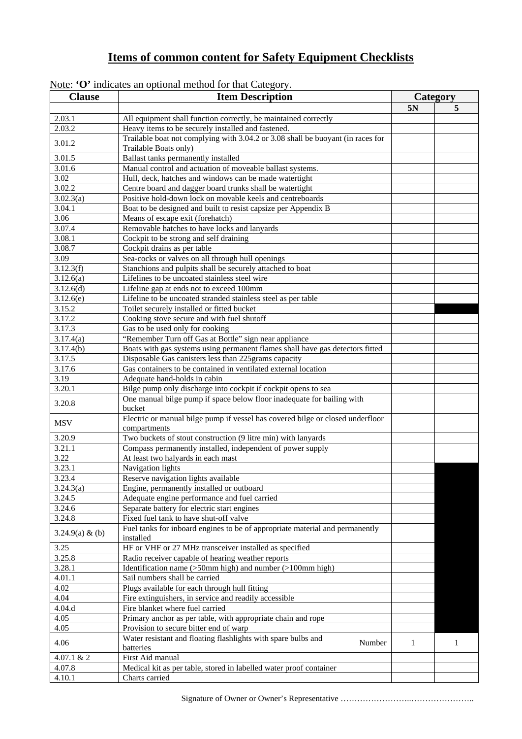# **Items of common content for Safety Equipment Checklists**

| <b>Clause</b>   | <b>Item Description</b>                                                         | Category     |              |
|-----------------|---------------------------------------------------------------------------------|--------------|--------------|
|                 |                                                                                 | 5N           | 5            |
| 2.03.1          | All equipment shall function correctly, be maintained correctly                 |              |              |
| 2.03.2          | Heavy items to be securely installed and fastened.                              |              |              |
|                 | Trailable boat not complying with 3.04.2 or 3.08 shall be buoyant (in races for |              |              |
| 3.01.2          | Trailable Boats only)                                                           |              |              |
| 3.01.5          | <b>Ballast tanks permanently installed</b>                                      |              |              |
| 3.01.6          | Manual control and actuation of moveable ballast systems.                       |              |              |
| 3.02            | Hull, deck, hatches and windows can be made watertight                          |              |              |
| 3.02.2          | Centre board and dagger board trunks shall be watertight                        |              |              |
| 3.02.3(a)       | Positive hold-down lock on movable keels and centreboards                       |              |              |
| 3.04.1          | Boat to be designed and built to resist capsize per Appendix B                  |              |              |
| 3.06            | Means of escape exit (forehatch)                                                |              |              |
| 3.07.4          | Removable hatches to have locks and lanyards                                    |              |              |
| 3.08.1          | Cockpit to be strong and self draining                                          |              |              |
| 3.08.7          | Cockpit drains as per table                                                     |              |              |
| 3.09            | Sea-cocks or valves on all through hull openings                                |              |              |
| 3.12.3(f)       | Stanchions and pulpits shall be securely attached to boat                       |              |              |
| 3.12.6(a)       | Lifelines to be uncoated stainless steel wire                                   |              |              |
| 3.12.6(d)       | Lifeline gap at ends not to exceed 100mm                                        |              |              |
| 3.12.6(e)       | Lifeline to be uncoated stranded stainless steel as per table                   |              |              |
| 3.15.2          | Toilet securely installed or fitted bucket                                      |              |              |
| 3.17.2          | Cooking stove secure and with fuel shutoff                                      |              |              |
| 3.17.3          | Gas to be used only for cooking                                                 |              |              |
| 3.17.4(a)       | "Remember Turn off Gas at Bottle" sign near appliance                           |              |              |
| 3.17.4(b)       | Boats with gas systems using permanent flames shall have gas detectors fitted   |              |              |
| 3.17.5          | Disposable Gas canisters less than 225 grams capacity                           |              |              |
| 3.17.6          | Gas containers to be contained in ventilated external location                  |              |              |
| 3.19            | Adequate hand-holds in cabin                                                    |              |              |
| 3.20.1          | Bilge pump only discharge into cockpit if cockpit opens to sea                  |              |              |
|                 | One manual bilge pump if space below floor inadequate for bailing with          |              |              |
| 3.20.8          | bucket                                                                          |              |              |
|                 | Electric or manual bilge pump if vessel has covered bilge or closed underfloor  |              |              |
| <b>MSV</b>      | compartments                                                                    |              |              |
| 3.20.9          | Two buckets of stout construction (9 litre min) with lanyards                   |              |              |
| 3.21.1          | Compass permanently installed, independent of power supply                      |              |              |
| 3.22            | At least two halyards in each mast                                              |              |              |
| 3.23.1          | Navigation lights                                                               |              |              |
| 3.23.4          | Reserve navigation lights available                                             |              |              |
| 3.24.3(a)       | Engine, permanently installed or outboard                                       |              |              |
| 3.24.5          | Adequate engine performance and fuel carried                                    |              |              |
| 3.24.6          | Separate battery for electric start engines                                     |              |              |
| 3.24.8          | Fixed fuel tank to have shut-off valve                                          |              |              |
|                 | Fuel tanks for inboard engines to be of appropriate material and permanently    |              |              |
| 3.24.9(a) & (b) | installed                                                                       |              |              |
| 3.25            | HF or VHF or 27 MHz transceiver installed as specified                          |              |              |
| 3.25.8          | Radio receiver capable of hearing weather reports                               |              |              |
| 3.28.1          | Identification name (>50mm high) and number (>100mm high)                       |              |              |
| 4.01.1          | Sail numbers shall be carried                                                   |              |              |
| 4.02            | Plugs available for each through hull fitting                                   |              |              |
| 4.04            | Fire extinguishers, in service and readily accessible                           |              |              |
| 4.04.d          | Fire blanket where fuel carried                                                 |              |              |
| 4.05            | Primary anchor as per table, with appropriate chain and rope                    |              |              |
| 4.05            | Provision to secure bitter end of warp                                          |              |              |
|                 | Water resistant and floating flashlights with spare bulbs and                   |              |              |
| 4.06            | Number<br>batteries                                                             | $\mathbf{1}$ | $\mathbf{1}$ |
| 4.07.1 & 2      | First Aid manual                                                                |              |              |
| 4.07.8          | Medical kit as per table, stored in labelled water proof container              |              |              |
| 4.10.1          | Charts carried                                                                  |              |              |
|                 |                                                                                 |              |              |

|  | Note: ' $\mathbf{O}'$ indicates an optional method for that Category. |  |  |  |  |
|--|-----------------------------------------------------------------------|--|--|--|--|
|--|-----------------------------------------------------------------------|--|--|--|--|

Signature of Owner or Owner's Representative ……………………..…………………..